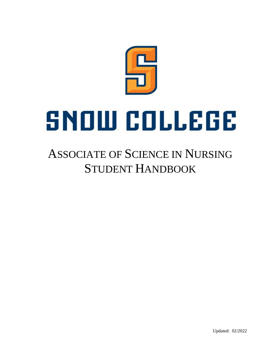

# ASSOCIATE OF SCIENCE IN NURSING STUDENT HANDBOOK

Updated: 02/2022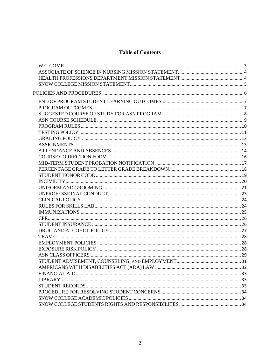### **Table of Contents**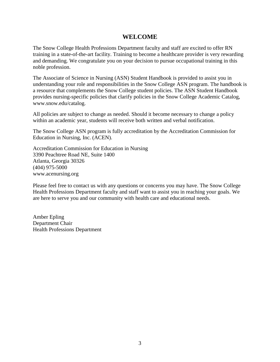### **WELCOME**

<span id="page-2-0"></span>The Snow College Health Professions Department faculty and staff are excited to offer RN training in a state-of-the-art facility. Training to become a healthcare provider is very rewarding and demanding. We congratulate you on your decision to pursue occupational training in this noble profession.

The Associate of Science in Nursing (ASN) Student Handbook is provided to assist you in understanding your role and responsibilities in the Snow College ASN program. The handbook is a resource that complements the Snow College student policies. The ASN Student Handbook provides nursing-specific policies that clarify policies in the Snow College Academic Catalog, www.snow.edu/catalog.

All policies are subject to change as needed. Should it become necessary to change a policy within an academic year, students will receive both written and verbal notification.

The Snow College ASN program is fully accreditation by the Accreditation Commission for Education in Nursing, Inc. (ACEN).

Accreditation Commission for Education in Nursing 3390 Peachtree Road NE, Suite 1400 Atlanta, Georgia 30326 (404) 975-5000 [www.acenursing.org](http://www.acenursing.org/)

Please feel free to contact us with any questions or concerns you may have. The Snow College Health Professions Department faculty and staff want to assist you in reaching your goals. We are here to serve you and our community with health care and educational needs.

Amber Epling Department Chair Health Professions Department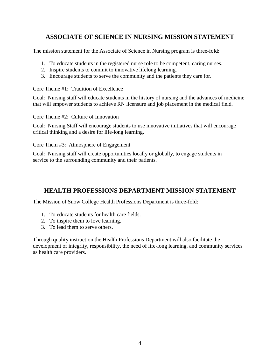# <span id="page-3-0"></span>**ASSOCIATE OF SCIENCE IN NURSING MISSION STATEMENT**

The mission statement for the Associate of Science in Nursing program is three-fold:

- 1. To educate students in the registered nurse role to be competent, caring nurses.
- 2. Inspire students to commit to innovative lifelong learning.
- 3. Encourage students to serve the community and the patients they care for.

Core Theme #1: Tradition of Excellence

Goal: Nursing staff will educate students in the history of nursing and the advances of medicine that will empower students to achieve RN licensure and job placement in the medical field.

Core Theme #2: Culture of Innovation

Goal: Nursing Staff will encourage students to use innovative initiatives that will encourage critical thinking and a desire for life-long learning.

Core Them #3: Atmosphere of Engagement

Goal: Nursing staff will create opportunities locally or globally, to engage students in service to the surrounding community and their patients.

# <span id="page-3-1"></span>**HEALTH PROFESSIONS DEPARTMENT MISSION STATEMENT**

The Mission of Snow College Health Professions Department is three-fold:

- 1. To educate students for health care fields.
- 2. To inspire them to love learning.
- 3. To lead them to serve others.

Through quality instruction the Health Professions Department will also facilitate the development of integrity, responsibility, the need of life-long learning, and community services as health care providers.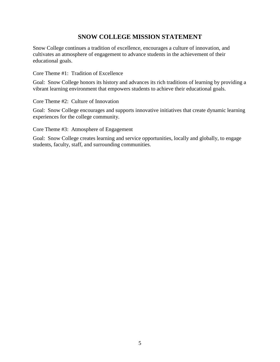# **SNOW COLLEGE MISSION STATEMENT**

<span id="page-4-0"></span>Snow College continues a tradition of excellence, encourages a culture of innovation, and cultivates an atmosphere of engagement to advance students in the achievement of their educational goals.

Core Theme #1: Tradition of Excellence

Goal: Snow College honors its history and advances its rich traditions of learning by providing a vibrant learning environment that empowers students to achieve their educational goals.

Core Theme #2: Culture of Innovation

Goal: Snow College encourages and supports innovative initiatives that create dynamic learning experiences for the college community.

Core Theme #3: Atmosphere of Engagement

Goal: Snow College creates learning and service opportunities, locally and globally, to engage students, faculty, staff, and surrounding communities.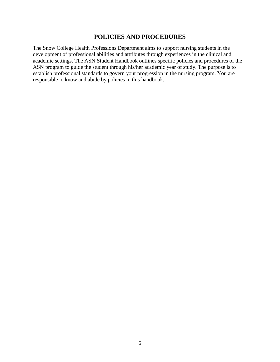### **POLICIES AND PROCEDURES**

<span id="page-5-0"></span>The Snow College Health Professions Department aims to support nursing students in the development of professional abilities and attributes through experiences in the clinical and academic settings. The ASN Student Handbook outlines specific policies and procedures of the ASN program to guide the student through his/her academic year of study. The purpose is to establish professional standards to govern your progression in the nursing program. You are responsible to know and abide by policies in this handbook.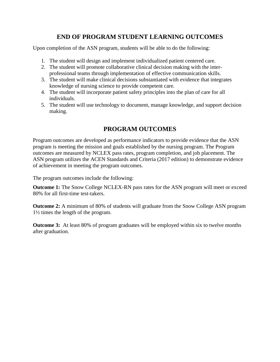# **END OF PROGRAM STUDENT LEARNING OUTCOMES**

<span id="page-6-0"></span>Upon completion of the ASN program, students will be able to do the following:

- 1. The student will design and implement individualized patient centered care.
- 2. The student will promote collaborative clinical decision making with the interprofessional teams through implementation of effective communication skills.
- 3. The student will make clinical decisions substantiated with evidence that integrates knowledge of nursing science to provide competent care.
- 4. The student will incorporate patient safety principles into the plan of care for all individuals.
- 5. The student will use technology to document, manage knowledge, and support decision making.

# **PROGRAM OUTCOMES**

<span id="page-6-1"></span>Program outcomes are developed as performance indicators to provide evidence that the ASN program is meeting the mission and goals established by the nursing program. The Program outcomes are measured by NCLEX pass rates, program completion, and job placement. The ASN program utilizes the ACEN Standards and Criteria (2017 edition) to demonstrate evidence of achievement in meeting the program outcomes.

The program outcomes include the following:

**Outcome 1:** The Snow College NCLEX-RN pass rates for the ASN program will meet or exceed 80% for all first-time test-takers.

**Outcome 2:** A minimum of 80% of students will graduate from the Snow College ASN program 1½ times the length of the program.

**Outcome 3:** At least 80% of program graduates will be employed within six to twelve months after graduation.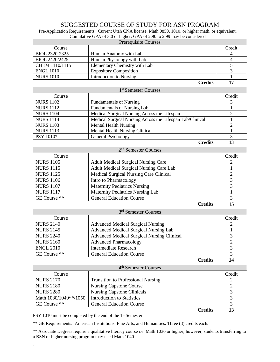### SUGGESTED COURSE OF STUDY FOR ASN PROGRAM

<span id="page-7-0"></span>Pre-Application Requirements: Current Utah CNA license, Math 0850, 1010, or higher math, or equivalent, Cumulative GPA of 3.0 or higher; GPA of 2.90 to 2.99 may be considered

| <b>Prerequisite Courses</b> |                               |        |  |
|-----------------------------|-------------------------------|--------|--|
| Course                      |                               | Credit |  |
| BIOL 2320-2325              | Human Anatomy with Lab        |        |  |
| BIOL 2420/2425              | Human Physiology with Lab     |        |  |
| CHEM 1110/1115              | Elementary Chemistry with Lab |        |  |
| <b>ENGL 1010</b>            | <b>Expository Composition</b> |        |  |
| <b>NURS 1010</b>            | Introduction to Nursing       |        |  |
|                             | <b>Credits</b>                | 17     |  |

| 1 <sup>st</sup> Semester Courses |                                                           |        |  |
|----------------------------------|-----------------------------------------------------------|--------|--|
| Course                           |                                                           | Credit |  |
| <b>NURS 1102</b>                 | <b>Fundamentals of Nursing</b>                            |        |  |
| <b>NURS 1112</b>                 | <b>Fundamentals of Nursing Lab</b>                        |        |  |
| <b>NURS 1104</b>                 | Medical Surgical Nursing Across the Lifespan              |        |  |
| <b>NURS 1114</b>                 | Medical Surgical Nursing Across the Lifespan Lab/Clinical |        |  |
| <b>NURS 1103</b>                 | <b>Mental Health Nursing</b>                              |        |  |
| <b>NURS 1113</b>                 | <b>Mental Health Nursing Clinical</b>                     |        |  |
| PSY 1010*                        | General Psychology                                        |        |  |
|                                  | <b>Credits</b>                                            | 13     |  |

| 2 <sup>nd</sup> Semester Courses |                                            |        |  |
|----------------------------------|--------------------------------------------|--------|--|
| Course                           |                                            | Credit |  |
| <b>NURS 1105</b>                 | <b>Adult Medical Surgical Nursing Care</b> |        |  |
| <b>NURS 1115</b>                 | Adult Medical Surgical Nursing Care Lab    |        |  |
| <b>NURS 1125</b>                 | Medical Surgical Nursing Care Clinical     |        |  |
| <b>NURS 1106</b>                 | Intro to Pharmacology                      |        |  |
| <b>NURS 1107</b>                 | <b>Maternity Pediatrics Nursing</b>        |        |  |
| <b>NURS 1117</b>                 | <b>Maternity Pediatrics Nursing Lab</b>    |        |  |
| GE Course **                     | <b>General Education Course</b>            |        |  |

**Credits 15**

| 3 <sup>rd</sup> Semester Courses |                                                   |        |  |
|----------------------------------|---------------------------------------------------|--------|--|
| Course                           |                                                   | Credit |  |
| <b>NURS 2140</b>                 | <b>Advanced Medical Surgical Nursing</b>          |        |  |
| <b>NURS 2145</b>                 | <b>Advanced Medical Surgical Nursing Lab</b>      |        |  |
| <b>NURS 2240</b>                 | <b>Advanced Medical Surgical Nursing Clinical</b> |        |  |
| <b>NURS 2160</b>                 | <b>Advanced Pharmacology</b>                      |        |  |
| <b>ENGL 2010</b>                 | <b>Intermediate Research</b>                      |        |  |
| GE Course **                     | <b>General Education Course</b>                   |        |  |

**Credits 14**

| 4 <sup>th</sup> Semester Courses |                                           |        |  |
|----------------------------------|-------------------------------------------|--------|--|
| Course                           |                                           | Credit |  |
| <b>NURS 2170</b>                 | <b>Transition to Professional Nursing</b> |        |  |
| <b>NURS 2180</b>                 | <b>Nursing Capstone Course</b>            |        |  |
| <b>NURS 2280</b>                 | <b>Nursing Capstone Clinicals</b>         |        |  |
| Math 1030/1040**/1050            | <b>Introduction to Statistics</b>         |        |  |
| GE Course **                     | <b>General Education Course</b>           |        |  |
|                                  | <b>Credits</b>                            |        |  |

PSY 1010 must be completed by the end of the 1<sup>st</sup> Semester

.

\*\* GE Requirements: American Institutions, Fine Arts, and Humanities. Three (3) credits each.

\*\* Associate Degrees require a qualitative literacy course i.e. Math 1030 or higher; however, students transferring to a BSN or higher nursing program may need Math 1040.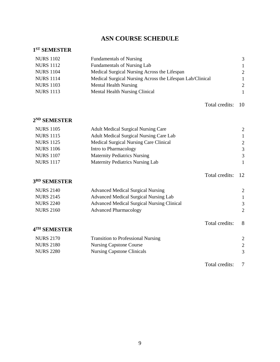# **ASN COURSE SCHEDULE**

#### <span id="page-8-0"></span>**1 ST SEMESTER**

| <b>NURS 1102</b> | <b>Fundamentals of Nursing</b>                            | 3            |
|------------------|-----------------------------------------------------------|--------------|
| <b>NURS 1112</b> | <b>Fundamentals of Nursing Lab</b>                        | -1           |
| <b>NURS 1104</b> | Medical Surgical Nursing Across the Lifespan              | 2            |
| <b>NURS 1114</b> | Medical Surgical Nursing Across the Lifespan Lab/Clinical | $\mathbf{1}$ |
| <b>NURS 1103</b> | <b>Mental Health Nursing</b>                              | 2            |
| <b>NURS 1113</b> | <b>Mental Health Nursing Clinical</b>                     |              |
|                  |                                                           |              |

Total credits: 10

Total credits: 12

#### **2 ND SEMESTER**

| <b>NURS 1105</b> | <b>Adult Medical Surgical Nursing Care</b>     | 2 |
|------------------|------------------------------------------------|---|
| <b>NURS 1115</b> | <b>Adult Medical Surgical Nursing Care Lab</b> |   |
| <b>NURS 1125</b> | Medical Surgical Nursing Care Clinical         | 2 |
| <b>NURS 1106</b> | Intro to Pharmacology                          | 3 |
| <b>NURS 1107</b> | <b>Maternity Pediatrics Nursing</b>            | 3 |
| <b>NURS 1117</b> | Maternity Pediatrics Nursing Lab               |   |
|                  |                                                |   |

#### **3 RD SEMESTER**

| <b>NURS 2140</b> | <b>Advanced Medical Surgical Nursing</b>          | 2 |
|------------------|---------------------------------------------------|---|
| <b>NURS 2145</b> | Advanced Medical Surgical Nursing Lab             |   |
| <b>NURS 2240</b> | <b>Advanced Medical Surgical Nursing Clinical</b> | 3 |
| <b>NURS 2160</b> | <b>Advanced Pharmacology</b>                      | 2 |
|                  |                                                   |   |

#### **4 TH SEMESTER**

| <b>NURS 2170</b> | <b>Transition to Professional Nursing</b> |  |
|------------------|-------------------------------------------|--|
| <b>NURS 2180</b> | Nursing Capstone Course                   |  |
| <b>NURS 2280</b> | Nursing Capstone Clinicals                |  |

Total credits: 7

Total credits: 8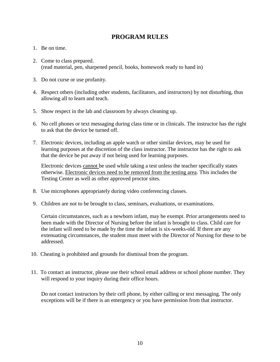### **PROGRAM RULES**

- <span id="page-9-0"></span>1. Be on time.
- 2. Come to class prepared. (read material, pen, sharpened pencil, books, homework ready to hand in)
- 3. Do not curse or use profanity.
- 4. Respect others (including other students, facilitators, and instructors) by not disturbing, thus allowing all to learn and teach.
- 5. Show respect in the lab and classroom by always cleaning up.
- 6. No cell phones or text messaging during class time or in clinicals. The instructor has the right to ask that the device be turned off.
- 7. Electronic devices, including an apple watch or other similar devices, may be used for learning purposes at the discretion of the class instructor. The instructor has the right to ask that the device be put away if not being used for learning purposes.

Electronic devices cannot be used while taking a test unless the teacher specifically states otherwise. Electronic devices need to be removed from the testing area. This includes the Testing Center as well as other approved proctor sites.

- 8. Use microphones appropriately during video conferencing classes.
- 9. Children are not to be brought to class, seminars, evaluations, or examinations.

Certain circumstances, such as a newborn infant, may be exempt. Prior arrangements need to been made with the Director of Nursing before the infant is brought to class. Child care for the infant will need to be made by the time the infant is six-weeks-old. If there are any extenuating circumstances, the student must meet with the Director of Nursing for these to be addressed.

- 10. Cheating is prohibited and grounds for dismissal from the program.
- 11. To contact an instructor, please use their school email address or school phone number. They will respond to your inquiry during their office hours.

Do not contact instructors by their cell phone, by either calling or text messaging. The only exceptions will be if there is an emergency or you have permission from that instructor.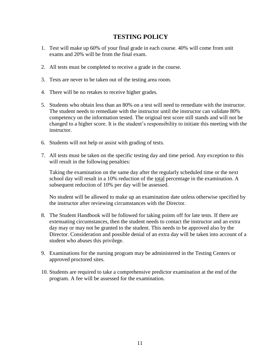# <span id="page-10-0"></span>**TESTING POLICY**

- 1. Test will make up 60% of your final grade in each course. 40% will come from unit exams and 20% will be from the final exam.
- 2. All tests must be completed to receive a grade in the course.
- 3. Tests are never to be taken out of the testing area room.
- 4. There will be no retakes to receive higher grades.
- 5. Students who obtain less than an 80% on a test will need to remediate with the instructor. The student needs to remediate with the instructor until the instructor can validate 80% competency on the information tested. The original test score still stands and will not be changed to a higher score. It is the student's responsibility to initiate this meeting with the instructor.
- 6. Students will not help or assist with grading of tests.
- 7. All tests must be taken on the specific testing day and time period. Any exception to this will result in the following penalties:

Taking the examination on the same day after the regularly scheduled time or the next school day will result in a 10% reduction of the total percentage in the examination. A subsequent reduction of 10% per day will be assessed.

No student will be allowed to make up an examination date unless otherwise specified by the instructor after reviewing circumstances with the Director.

- 8. The Student Handbook will be followed for taking points off for late tests. If there are extenuating circumstances, then the student needs to contact the instructor and an extra day may or may not be granted to the student. This needs to be approved also by the Director. Consideration and possible denial of an extra day will be taken into account of a student who abuses this privilege.
- 9. Examinations for the nursing program may be administered in the Testing Centers or approved proctored sites.
- 10. Students are required to take a comprehensive predictor examination at the end of the program. A fee will be assessed for the examination.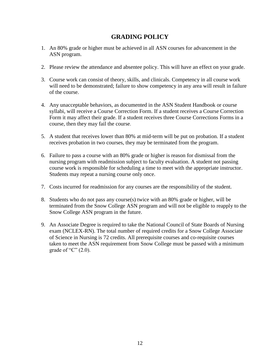# **GRADING POLICY**

- <span id="page-11-0"></span>1. An 80% grade or higher must be achieved in all ASN courses for advancement in the ASN program.
- 2. Please review the attendance and absentee policy. This will have an effect on your grade.
- 3. Course work can consist of theory, skills, and clinicals. Competency in all course work will need to be demonstrated; failure to show competency in any area will result in failure of the course.
- 4. Any unacceptable behaviors, as documented in the ASN Student Handbook or course syllabi, will receive a Course Correction Form. If a student receives a Course Correction Form it may affect their grade. If a student receives three Course Corrections Forms in a course, then they may fail the course.
- 5. A student that receives lower than 80% at mid-term will be put on probation. If a student receives probation in two courses, they may be terminated from the program.
- 6. Failure to pass a course with an 80% grade or higher is reason for dismissal from the nursing program with readmission subject to faculty evaluation. A student not passing course work is responsible for scheduling a time to meet with the appropriate instructor. Students may repeat a nursing course only once.
- 7. Costs incurred for readmission for any courses are the responsibility of the student.
- 8. Students who do not pass any course(s) twice with an 80% grade or higher, will be terminated from the Snow College ASN program and will not be eligible to reapply to the Snow College ASN program in the future.
- 9. An Associate Degree is required to take the National Council of State Boards of Nursing exam (NCLEX-RN). The total number of required credits for a Snow College Associate of Science in Nursing is 72 credits. All prerequisite courses and co-requisite courses taken to meet the ASN requirement from Snow College must be passed with a minimum grade of "C"  $(2.0)$ .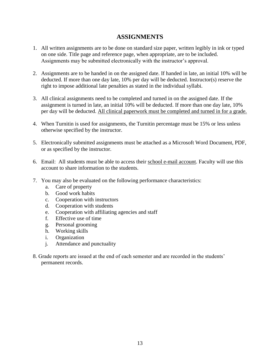### **ASSIGNMENTS**

- <span id="page-12-0"></span>1. All written assignments are to be done on standard size paper, written legibly in ink or typed on one side. Title page and reference page, when appropriate, are to be included. Assignments may be submitted electronically with the instructor's approval.
- 2. Assignments are to be handed in on the assigned date. If handed in late, an initial 10% will be deducted. If more than one day late, 10% per day will be deducted. Instructor(s) reserve the right to impose additional late penalties as stated in the individual syllabi.
- 3. All clinical assignments need to be completed and turned in on the assigned date. If the assignment is turned in late, an initial 10% will be deducted. If more than one day late, 10% per day will be deducted. All clinical paperwork must be completed and turned in for a grade.
- 4. When Turnitin is used for assignments, the Turnitin percentage must be 15% or less unless otherwise specified by the instructor.
- 5. Electronically submitted assignments must be attached as a Microsoft Word Document, PDF, or as specified by the instructor.
- 6. Email: All students must be able to access their school e-mail account. Faculty will use this account to share information to the students.
- 7. You may also be evaluated on the following performance characteristics:
	- a. Care of property
	- b. Good work habits
	- c. Cooperation with instructors
	- d. Cooperation with students
	- e. Cooperation with affiliating agencies and staff
	- f. Effective use of time
	- g. Personal grooming
	- h. Working skills
	- i. Organization
	- j. Attendance and punctuality
- 8. Grade reports are issued at the end of each semester and are recorded in the students' permanent records.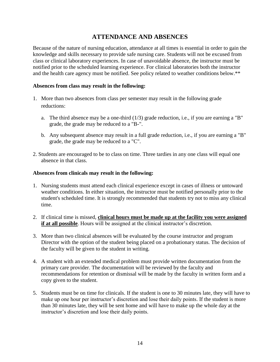# **ATTENDANCE AND ABSENCES**

<span id="page-13-0"></span>Because of the nature of nursing education, attendance at all times is essential in order to gain the knowledge and skills necessary to provide safe nursing care. Students will not be excused from class or clinical laboratory experiences. In case of unavoidable absence, the instructor must be notified prior to the scheduled learning experience. For clinical laboratories both the instructor and the health care agency must be notified. See policy related to weather conditions below.\*\*

### **Absences from class may result in the following:**

- 1. More than two absences from class per semester may result in the following grade reductions:
	- a. The third absence may be a one-third (1/3) grade reduction, i.e., if you are earning a "B" grade, the grade may be reduced to a "B-".
	- b. Any subsequent absence may result in a full grade reduction, i.e., if you are earning a "B" grade, the grade may be reduced to a "C".
- 2. Students are encouraged to be to class on time. Three tardies in any one class will equal one absence in that class.

#### **Absences from clinicals may result in the following:**

- 1. Nursing students must attend each clinical experience except in cases of illness or untoward weather conditions. In either situation, the instructor must be notified personally prior to the student's scheduled time. It is strongly recommended that students try not to miss any clinical time.
- 2. If clinical time is missed, **clinical hours must be made up at the facility you were assigned if at all possible**. Hours will be assigned at the clinical instructor's discretion.
- 3. More than two clinical absences will be evaluated by the course instructor and program Director with the option of the student being placed on a probationary status. The decision of the faculty will be given to the student in writing.
- 4. A student with an extended medical problem must provide written documentation from the primary care provider. The documentation will be reviewed by the faculty and recommendations for retention or dismissal will be made by the faculty in written form and a copy given to the student.
- 5. Students must be on time for clinicals. If the student is one to 30 minutes late, they will have to make up one hour per instructor's discretion and lose their daily points. If the student is more than 30 minutes late, they will be sent home and will have to make up the whole day at the instructor's discretion and lose their daily points.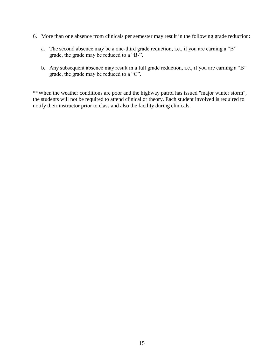- 6. More than one absence from clinicals per semester may result in the following grade reduction:
	- a. The second absence may be a one-third grade reduction, i.e., if you are earning a "B" grade, the grade may be reduced to a "B-".
	- b. Any subsequent absence may result in a full grade reduction, i.e., if you are earning a "B" grade, the grade may be reduced to a "C".

\*\*When the weather conditions are poor and the highway patrol has issued "major winter storm", the students will not be required to attend clinical or theory. Each student involved is required to notify their instructor prior to class and also the facility during clinicals.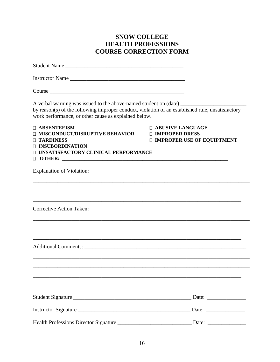# **SNOW COLLEGE HEALTH PROFESSIONS COURSE CORRECTION FORM**

<span id="page-15-0"></span>

| Student Name                                                                                                                                                                                                                                 |                                                                               |
|----------------------------------------------------------------------------------------------------------------------------------------------------------------------------------------------------------------------------------------------|-------------------------------------------------------------------------------|
| Instructor Name                                                                                                                                                                                                                              |                                                                               |
|                                                                                                                                                                                                                                              |                                                                               |
| A verbal warning was issued to the above-named student on (date) _______________<br>by reason(s) of the following improper conduct, violation of an established rule, unsatisfactory<br>work performance, or other cause as explained below. |                                                                               |
| <b>D ABSENTEEISM</b><br>□ MISCONDUCT/DISRUPTIVE BEHAVIOR<br><b>TARDINESS</b><br><b>INSUBORDINATION</b><br>□ UNSATISFACTORY CLINICAL PERFORMANCE                                                                                              | <b>D ABUSIVE LANGUAGE</b><br>□ IMPROPER DRESS<br>□ IMPROPER USE OF EQUIPTMENT |
|                                                                                                                                                                                                                                              |                                                                               |
|                                                                                                                                                                                                                                              |                                                                               |
| ,我们也不能在这里的时候,我们也不能在这里的时候,我们也不能会在这里的时候,我们也不能会在这里的时候,我们也不能会在这里的时候,我们也不能会在这里的时候,我们也不                                                                                                                                                            |                                                                               |
|                                                                                                                                                                                                                                              |                                                                               |
|                                                                                                                                                                                                                                              |                                                                               |
| Instructor Signature                                                                                                                                                                                                                         | Date: $\qquad \qquad$                                                         |
|                                                                                                                                                                                                                                              | Date: $\frac{1}{\sqrt{1-\frac{1}{2}} \cdot \frac{1}{2}}$                      |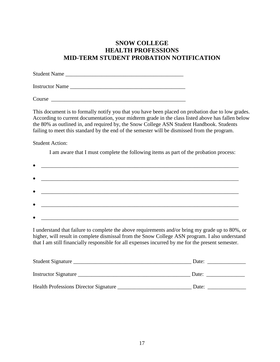# **SNOW COLLEGE HEALTH PROFESSIONS MID-TERM STUDENT PROBATION NOTIFICATION**

<span id="page-16-0"></span>

| <b>Student Name</b> |  |  |
|---------------------|--|--|
|                     |  |  |

Instructor Name

Course  $\sim$ 

This document is to formally notify you that you have been placed on probation due to low grades. According to current documentation, your midterm grade in the class listed above has fallen below the 80% as outlined in, and required by, the Snow College ASN Student Handbook. Students failing to meet this standard by the end of the semester will be dismissed from the program.

Student Action:

I am aware that I must complete the following items as part of the probation process:

| <u> 1989 - Johann Barn, fransk politik (d. 1989)</u>                                                                    |
|-------------------------------------------------------------------------------------------------------------------------|
|                                                                                                                         |
|                                                                                                                         |
|                                                                                                                         |
|                                                                                                                         |
| <u> Alexandro Alexandro Alexandro Alexandro Alexandro Alexandro Alexandro Alexandro Alexandro Alexandro Alexandro A</u> |
|                                                                                                                         |
| <u> 1989 - Johann Harry Barn, mars and de Branch and de Branch and de Branch and de Branch and de Branch and de B</u>   |

I understand that failure to complete the above requirements and/or bring my grade up to 80%, or higher, will result in complete dismissal from the Snow College ASN program. I also understand that I am still financially responsible for all expenses incurred by me for the present semester.

| Student Signature                            | Date: |
|----------------------------------------------|-------|
| Instructor Signature                         | Date: |
| <b>Health Professions Director Signature</b> | Date: |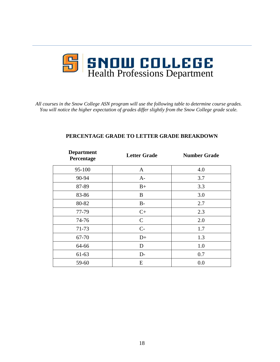

<span id="page-17-0"></span>*All courses in the Snow College ASN program will use the following table to determine course grades. You will notice the higher expectation of grades differ slightly from the Snow College grade scale.*

| <b>Department</b><br>Percentage | <b>Letter Grade</b> | <b>Number Grade</b> |
|---------------------------------|---------------------|---------------------|
| 95-100                          | $\mathbf{A}$        | 4.0                 |
| 90-94                           | $A-$                | 3.7                 |
| 87-89                           | $B+$                | 3.3                 |
| 83-86                           | $\bf{B}$            | 3.0                 |
| 80-82                           | $B-$                | 2.7                 |
| 77-79                           | $C+$                | 2.3                 |
| 74-76                           | $\mathsf{C}$        | 2.0                 |
| 71-73                           | $C-$                | 1.7                 |
| 67-70                           | $D+$                | 1.3                 |
| 64-66                           | D                   | 1.0                 |
| 61-63                           | $D-$                | 0.7                 |
| 59-60                           | E                   | 0.0                 |

### **PERCENTAGE GRADE TO LETTER GRADE BREAKDOWN**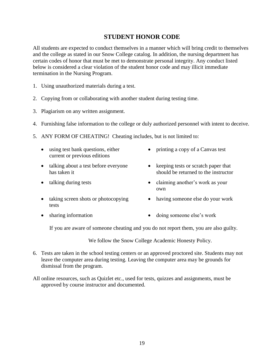## **STUDENT HONOR CODE**

<span id="page-18-0"></span>All students are expected to conduct themselves in a manner which will bring credit to themselves and the college as stated in our Snow College catalog. In addition, the nursing department has certain codes of honor that must be met to demonstrate personal integrity. Any conduct listed below is considered a clear violation of the student honor code and may illicit immediate termination in the Nursing Program.

- 1. Using unauthorized materials during a test.
- 2. Copying from or collaborating with another student during testing time.
- 3. Plagiarism on any written assignment.
- 4. Furnishing false information to the college or duly authorized personnel with intent to deceive.
- 5. ANY FORM OF CHEATING! Cheating includes, but is not limited to:
	- using test bank questions, either current or previous editions
	- talking about a test before everyone has taken it
	-
	- taking screen shots or photocopying tests
- printing a copy of a Canvas test
- keeping tests or scratch paper that should be returned to the instructor
- talking during tests claiming another's work as your own
	- having someone else do your work
- sharing information doing someone else's work

If you are aware of someone cheating and you do not report them, you are also guilty.

We follow the Snow College Academic Honesty Policy.

- 6. Tests are taken in the school testing centers or an approved proctored site. Students may not leave the computer area during testing. Leaving the computer area may be grounds for dismissal from the program.
- All online resources, such as Quizlet etc., used for tests, quizzes and assignments, must be approved by course instructor and documented.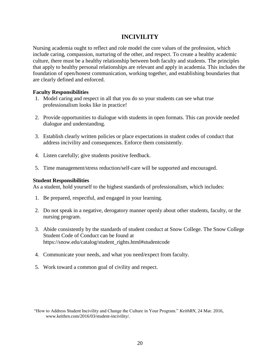# **INCIVILITY**

<span id="page-19-0"></span>Nursing academia ought to reflect and role model the core values of the profession, which include caring, compassion, nurturing of the other, and respect. To create a healthy academic culture, there must be a healthy relationship between both faculty and students. The principles that apply to healthy personal relationships are relevant and apply in academia. This includes the foundation of open/honest communication, working together, and establishing boundaries that are clearly defined and enforced.

#### **Faculty Responsibilities**

- 1. Model caring and respect in all that you do so your students can see what true professionalism looks like in practice!
- 2. Provide opportunities to dialogue with students in open formats. This can provide needed dialogue and understanding.
- 3. Establish clearly written policies or place expectations in student codes of conduct that address incivility and consequences. Enforce them consistently.
- 4. Listen carefully; give students positive feedback.
- 5. Time management/stress reduction/self-care will be supported and encouraged.

### **Student Responsibilities**

As a student, hold yourself to the highest standards of professionalism, which includes:

- 1. Be prepared, respectful, and engaged in your learning.
- 2. Do not speak in a negative, derogatory manner openly about other students, faculty, or the nursing program.
- 3. Abide consistently by the standards of student conduct at Snow College. The Snow College Student Code of Conduct can be found at https://snow.edu/catalog/student\_rights.html#studentcode
- 4. Communicate your needs, and what you need/expect from faculty.
- 5. Work toward a common goal of civility and respect.

<sup>&</sup>quot;How to Address Student Incivility and Change the Culture in Your Program." *KeithRN*, 24 Mar. 2016, www.keithrn.com/2016/03/student-incivility/.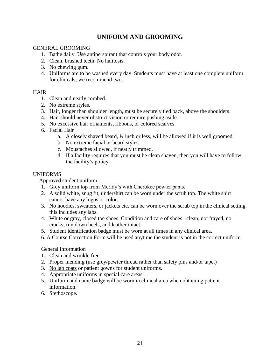# **UNIFORM AND GROOMING**

### <span id="page-20-0"></span>GENERAL GROOMING

- 1. Bathe daily. Use antiperspirant that controls your body odor.
- 2. Clean, brushed teeth. No halitosis.
- 3. No chewing gum.
- 4. Uniforms are to be washed every day. Students must have at least one complete uniform for clinicals; we recommend two.

### HAIR

- 1. Clean and neatly combed.
- 2. No extreme styles.
- 3. Hair, longer than shoulder length, must be securely tied back, above the shoulders.
- 4. Hair should never obstruct vision or require pushing aside.
- 5. No excessive hair ornaments, ribbons, or colored scarves.
- 6. Facial Hair
	- a. A closely shaved beard, ¼ inch or less, will be allowed if it is well groomed.
	- b. No extreme facial or beard styles.
	- c. Moustaches allowed, if neatly trimmed.
	- d. If a facility requires that you must be clean shaven, then you will have to follow the facility's policy.

### UNIFORMS

### Approved student uniform

- 1. Grey uniform top from Meridy's with Cherokee pewter pants.
- 2. A solid white, snug fit, undershirt can be worn under the scrub top. The white shirt cannot have any logos or color.
- 3. No hoodies, sweaters, or jackets etc. can be worn over the scrub top in the clinical setting, this includes any labs.
- 4. White or gray, closed toe shoes. Condition and care of shoes: clean, not frayed, no cracks, run down heels, and leather intact.
- 5. Student identification badge must be worn at all times in any clinical area.
- 6. A Course Correction Form will be used anytime the student is not in the correct uniform.

### General information

- 1. Clean and wrinkle free.
- 2. Proper mending (use grey/pewter thread rather than safety pins and/or tape.)
- 3. No lab coats or patient gowns for student uniforms.
- 4. Appropriate uniforms in special care areas.
- 5. Uniform and name badge will be worn in clinical area when obtaining patient information.
- 6. Stethoscope.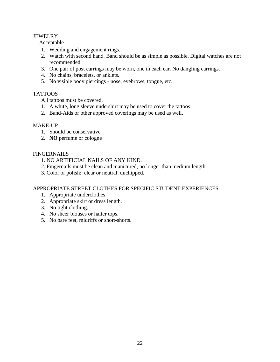### JEWELRY

Acceptable

- 1. Wedding and engagement rings.
- 2. Watch with second hand. Band should be as simple as possible. Digital watches are not recommended.
- 3. One pair of post earrings may be worn, one in each ear. No dangling earrings.
- 4. No chains, bracelets, or anklets.
- 5. No visible body piercings nose, eyebrows, tongue, etc.

### TATTOOS

All tattoos must be covered.

- 1. A white, long sleeve undershirt may be used to cover the tattoos.
- 2. Band-Aids or other approved coverings may be used as well.

### MAKE-UP

- 1. Should be conservative
- 2. **NO** perfume or cologne

### **FINGERNAILS**

- 1. NO ARTIFICIAL NAILS OF ANY KIND.
- 2. Fingernails must be clean and manicured, no longer than medium length.
- 3. Color or polish: clear or neutral, unchipped.

### APPROPRIATE STREET CLOTHES FOR SPECIFIC STUDENT EXPERIENCES.

- 1. Appropriate underclothes.
- 2. Appropriate skirt or dress length.
- 3. No tight clothing.
- 4. No sheer blouses or halter tops.
- 5. No bare feet, midriffs or short-shorts.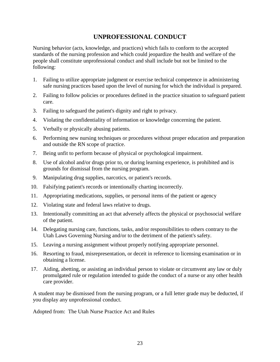# **UNPROFESSIONAL CONDUCT**

<span id="page-22-0"></span>Nursing behavior (acts, knowledge, and practices) which fails to conform to the accepted standards of the nursing profession and which could jeopardize the health and welfare of the people shall constitute unprofessional conduct and shall include but not be limited to the following:

- 1. Failing to utilize appropriate judgment or exercise technical competence in administering safe nursing practices based upon the level of nursing for which the individual is prepared.
- 2. Failing to follow policies or procedures defined in the practice situation to safeguard patient care.
- 3. Failing to safeguard the patient's dignity and right to privacy.
- 4. Violating the confidentiality of information or knowledge concerning the patient.
- 5. Verbally or physically abusing patients.
- 6. Performing new nursing techniques or procedures without proper education and preparation and outside the RN scope of practice.
- 7. Being unfit to perform because of physical or psychological impairment.
- 8. Use of alcohol and/or drugs prior to, or during learning experience, is prohibited and is grounds for dismissal from the nursing program.
- 9. Manipulating drug supplies, narcotics, or patient's records.
- 10. Falsifying patient's records or intentionally charting incorrectly.
- 11. Appropriating medications, supplies, or personal items of the patient or agency
- 12. Violating state and federal laws relative to drugs.
- 13. Intentionally committing an act that adversely affects the physical or psychosocial welfare of the patient.
- 14. Delegating nursing care, functions, tasks, and/or responsibilities to others contrary to the Utah Laws Governing Nursing and/or to the detriment of the patient's safety.
- 15. Leaving a nursing assignment without properly notifying appropriate personnel.
- 16. Resorting to fraud, misrepresentation, or deceit in reference to licensing examination or in obtaining a license.
- 17. Aiding, abetting, or assisting an individual person to violate or circumvent any law or duly promulgated rule or regulation intended to guide the conduct of a nurse or any other health care provider.

A student may be dismissed from the nursing program, or a full letter grade may be deducted, if you display any unprofessional conduct.

Adopted from: The Utah Nurse Practice Act and Rules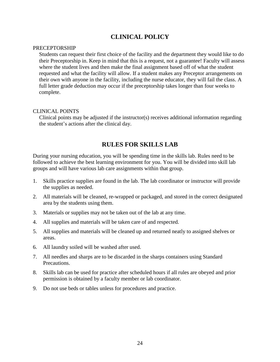# **CLINICAL POLICY**

#### <span id="page-23-0"></span>PRECEPTORSHIP

Students can request their first choice of the facility and the department they would like to do their Preceptorship in. Keep in mind that this is a request, not a guarantee! Faculty will assess where the student lives and then make the final assignment based off of what the student requested and what the facility will allow. If a student makes any Preceptor arrangements on their own with anyone in the facility, including the nurse educator, they will fail the class. A full letter grade deduction may occur if the preceptorship takes longer than four weeks to complete.

#### CLINICAL POINTS

Clinical points may be adjusted if the instructor(s) receives additional information regarding the student's actions after the clinical day.

# **RULES FOR SKILLS LAB**

<span id="page-23-1"></span>During your nursing education, you will be spending time in the skills lab. Rules need to be followed to achieve the best learning environment for you. You will be divided into skill lab groups and will have various lab care assignments within that group.

- 1. Skills practice supplies are found in the lab. The lab coordinator or instructor will provide the supplies as needed.
- 2. All materials will be cleaned, re-wrapped or packaged, and stored in the correct designated area by the students using them.
- 3. Materials or supplies may not be taken out of the lab at any time.
- 4. All supplies and materials will be taken care of and respected.
- 5. All supplies and materials will be cleaned up and returned neatly to assigned shelves or areas.
- 6. All laundry soiled will be washed after used.
- 7. All needles and sharps are to be discarded in the sharps containers using Standard Precautions.
- 8. Skills lab can be used for practice after scheduled hours if all rules are obeyed and prior permission is obtained by a faculty member or lab coordinator.
- 9. Do not use beds or tables unless for procedures and practice.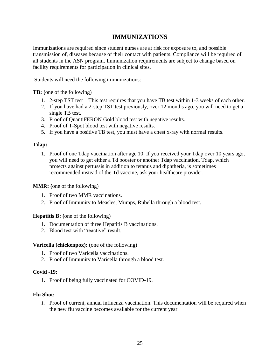# **IMMUNIZATIONS**

<span id="page-24-0"></span>Immunizations are required since student nurses are at risk for exposure to, and possible transmission of, diseases because of their contact with patients. Compliance will be required of all students in the ASN program. Immunization requirements are subject to change based on facility requirements for participation in clinical sites.

Students will need the following immunizations:

**TB: (**one of the following)

- 1. 2-step TST test This test requires that you have TB test within 1-3 weeks of each other.
- 2. If you have had a 2-step TST test previously, over 12 months ago, you will need to get a single TB test.
- 3. Proof of QuantiFERON Gold blood test with negative results.
- 4. Proof of T-Spot blood test with negative results.
- 5. If you have a positive TB test, you must have a chest x-ray with normal results.

### **Tdap:**

1. Proof of one Tdap vaccination after age 10. If you received your Tdap over 10 years ago, you will need to get either a Td booster or another Tdap vaccination. Tdap, which protects against pertussis in addition to tetanus and diphtheria, is sometimes recommended instead of the Td vaccine, ask your healthcare provider.

### **MMR: (**one of the following)

- 1. Proof of two MMR vaccinations.
- 2. Proof of Immunity to Measles, Mumps, Rubella through a blood test.

#### **Hepatitis B: (**one of the following)

- 1. Documentation of three Hepatitis B vaccinations.
- 2. Blood test with "reactive" result.

#### **Varicella (chickenpox):** (one of the following)

- 1. Proof of two Varicella vaccinations.
- 2. Proof of Immunity to Varicella through a blood test.

#### **Covid -19:**

1. Proof of being fully vaccinated for COVID-19.

#### **Flu Shot:**

1. Proof of current, annual influenza vaccination. This documentation will be required when the new flu vaccine becomes available for the current year.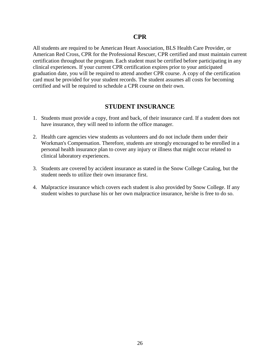<span id="page-25-0"></span>All students are required to be American Heart Association, BLS Health Care Provider, or American Red Cross, CPR for the Professional Rescuer, CPR certified and must maintain current certification throughout the program. Each student must be certified before participating in any clinical experiences. If your current CPR certification expires prior to your anticipated graduation date, you will be required to attend another CPR course. A copy of the certification card must be provided for your student records. The student assumes all costs for becoming certified and will be required to schedule a CPR course on their own.

### **STUDENT INSURANCE**

- <span id="page-25-1"></span>1. Students must provide a copy, front and back, of their insurance card. If a student does not have insurance, they will need to inform the office manager.
- 2. Health care agencies view students as volunteers and do not include them under their Workman's Compensation. Therefore, students are strongly encouraged to be enrolled in a personal health insurance plan to cover any injury or illness that might occur related to clinical laboratory experiences.
- 3. Students are covered by accident insurance as stated in the Snow College Catalog, but the student needs to utilize their own insurance first.
- 4. Malpractice insurance which covers each student is also provided by Snow College. If any student wishes to purchase his or her own malpractice insurance, he/she is free to do so.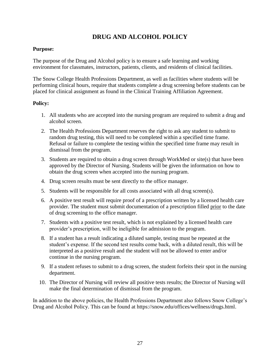# **DRUG AND ALCOHOL POLICY**

### <span id="page-26-0"></span>**Purpose:**

The purpose of the Drug and Alcohol policy is to ensure a safe learning and working environment for classmates, instructors, patients, clients, and residents of clinical facilities.

The Snow College Health Professions Department, as well as facilities where students will be performing clinical hours, require that students complete a drug screening before students can be placed for clinical assignment as found in the Clinical Training Affiliation Agreement.

### **Policy:**

- 1. All students who are accepted into the nursing program are required to submit a drug and alcohol screen.
- 2. The Health Professions Department reserves the right to ask any student to submit to random drug testing, this will need to be completed within a specified time frame. Refusal or failure to complete the testing within the specified time frame may result in dismissal from the program.
- 3. Students are required to obtain a drug screen through WorkMed or site(s) that have been approved by the Director of Nursing. Students will be given the information on how to obtain the drug screen when accepted into the nursing program.
- 4. Drug screen results must be sent directly to the office manager.
- 5. Students will be responsible for all costs associated with all drug screen(s).
- 6. A positive test result will require proof of a prescription written by a licensed health care provider. The student must submit documentation of a prescription filled prior to the date of drug screening to the office manager.
- 7. Students with a positive test result, which is not explained by a licensed health care provider's prescription, will be ineligible for admission to the program.
- 8. If a student has a result indicating a diluted sample, testing must be repeated at the student's expense. If the second test results come back, with a diluted result, this will be interpreted as a positive result and the student will not be allowed to enter and/or continue in the nursing program.
- 9. If a student refuses to submit to a drug screen, the student forfeits their spot in the nursing department.
- 10. The Director of Nursing will review all positive tests results; the Director of Nursing will make the final determination of dismissal from the program.

In addition to the above policies, the Health Professions Department also follows Snow College's Drug and Alcohol Policy. This can be found at https://snow.edu/offices/wellness/drugs.html.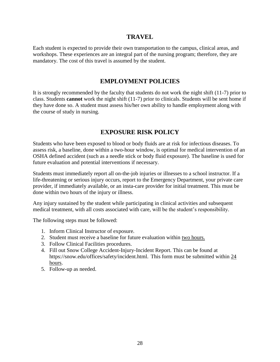### **TRAVEL**

<span id="page-27-0"></span>Each student is expected to provide their own transportation to the campus, clinical areas, and workshops. These experiences are an integral part of the nursing program; therefore, they are mandatory. The cost of this travel is assumed by the student*.*

### **EMPLOYMENT POLICIES**

<span id="page-27-1"></span>It is strongly recommended by the faculty that students do not work the night shift (11-7) prior to class. Students **cannot** work the night shift (11-7) prior to clinicals. Students will be sent home if they have done so. A student must assess his/her own ability to handle employment along with the course of study in nursing.

### **EXPOSURE RISK POLICY**

<span id="page-27-2"></span>Students who have been exposed to blood or body fluids are at risk for infectious diseases. To assess risk, a baseline, done within a two-hour window, is optimal for medical intervention of an OSHA defined accident (such as a needle stick or body fluid exposure). The baseline is used for future evaluation and potential interventions if necessary.

Students must immediately report all on-the-job injuries or illnesses to a school instructor. If a life-threatening or serious injury occurs, report to the Emergency Department, your private care provider, if immediately available, or an insta-care provider for initial treatment. This must be done within two hours of the injury or illness.

Any injury sustained by the student while participating in clinical activities and subsequent medical treatment, with all costs associated with care, will be the student's responsibility.

The following steps must be followed:

- 1. Inform Clinical Instructor of exposure.
- 2. Student must receive a baseline for future evaluation within two hours.
- 3. Follow Clinical Facilities procedures.
- 4. Fill out Snow College Accident-Injury-Incident Report. This can be found at https://snow.edu/offices/safety/incident.html. This form must be submitted within 24 hours.
- 5. Follow-up as needed.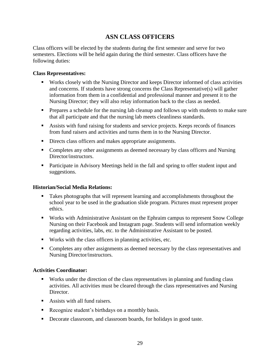# **ASN CLASS OFFICERS**

<span id="page-28-0"></span>Class officers will be elected by the students during the first semester and serve for two semesters. Elections will be held again during the third semester. Class officers have the following duties:

### **Class Representatives:**

- Works closely with the Nursing Director and keeps Director informed of class activities and concerns. If students have strong concerns the Class Representative(s) will gather information from them in a confidential and professional manner and present it to the Nursing Director; they will also relay information back to the class as needed.
- **•** Prepares a schedule for the nursing lab cleanup and follows up with students to make sure that all participate and that the nursing lab meets cleanliness standards.
- Assists with fund raising for students and service projects. Keeps records of finances from fund raisers and activities and turns them in to the Nursing Director.
- **•** Directs class officers and makes appropriate assignments.
- Completes any other assignments as deemed necessary by class officers and Nursing Director/instructors.
- Participate in Advisory Meetings held in the fall and spring to offer student input and suggestions.

#### **Historian/Social Media Relations:**

- Takes photographs that will represent learning and accomplishments throughout the school year to be used in the graduation slide program. Pictures must represent proper ethics.
- Works with Administrative Assistant on the Ephraim campus to represent Snow College Nursing on their Facebook and Instagram page. Students will send information weekly regarding activities, labs, etc. to the Administrative Assistant to be posted.
- Works with the class officers in planning activities, etc.
- Completes any other assignments as deemed necessary by the class representatives and Nursing Director/instructors.

#### **Activities Coordinator:**

- Works under the direction of the class representatives in planning and funding class activities. All activities must be cleared through the class representatives and Nursing Director.
- Assists with all fund raisers.
- Recognize student's birthdays on a monthly basis.
- Decorate classroom, and classroom boards, for holidays in good taste.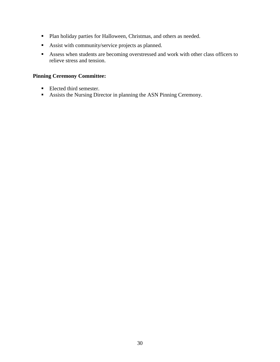- Plan holiday parties for Halloween, Christmas, and others as needed.
- Assist with community/service projects as planned.
- Assess when students are becoming overstressed and work with other class officers to relieve stress and tension.

### **Pinning Ceremony Committee:**

- Elected third semester.
- Assists the Nursing Director in planning the ASN Pinning Ceremony.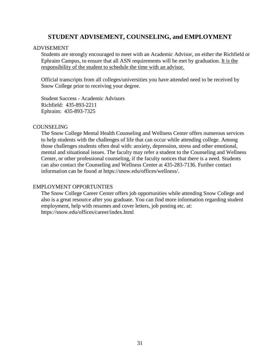### **STUDENT ADVISEMENT, COUNSELING, and EMPLOYMENT**

#### <span id="page-30-0"></span>ADVISEMENT

Students are strongly encouraged to meet with an Academic Advisor, on either the Richfield or Ephraim Campus, to ensure that all ASN requirements will be met by graduation. It is the responsibility of the student to schedule the time with an advisor.

Official transcripts from all colleges/universities you have attended need to be received by Snow College prior to receiving your degree.

Student Success - Academic Advisors Richfield: 435-893-2211 Ephraim: 435-893-7325

#### **COUNSELING**

The Snow College Mental Health Counseling and Wellness Center offers numerous services to help students with the challenges of life that can occur while attending college. Among those challenges students often deal with: anxiety, depression, stress and other emotional, mental and situational issues. The faculty may refer a student to the Counseling and Wellness Center, or other professional counseling, if the faculty notices that there is a need. Students can also contact the Counseling and Wellness Center at 435-283-7136. Further contact information can be found at https://snow.edu/offices/wellness/.

#### EMPLOYMENT OPPORTUNTIES

The Snow College Career Center offers job opportunities while attending Snow College and also is a great resource after you graduate. You can find more information regarding student employment, help with resumes and cover letters, job posting etc. at: https://snow.edu/offices/career/index.html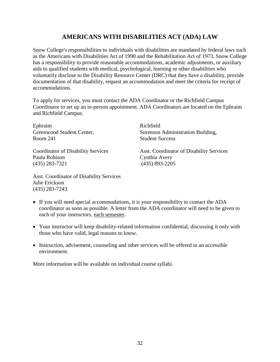# **AMERICANS WITH DISABILITIES ACT (ADA) LAW**

<span id="page-31-0"></span>Snow College's responsibilities to individuals with disabilities are mandated by federal laws such as the Americans with Disabilities Act of 1990 and the Rehabilitation Act of 1973. Snow College has a responsibility to provide reasonable accommodations, academic adjustments, or auxiliary aids to qualified students with medical, psychological, learning or other disabilities who voluntarily disclose to the Disability Resource Center (DRC) that they have a disability, provide documentation of that disability, request an accommodation and meet the criteria for receipt of accommodations.

To apply for services, you must contact the ADA Coordinator or the Richfield Campus Coordinator to set up an in-person appointment. ADA Coordinators are located on the Ephraim and Richfield Campus.

Ephraim Greenwood Student Center, Room 241

Coordinator of Disability Services Paula Robison (435) 283-7321

Richfield Sorenson Administration Building, Student Success

Asst. Coordinator of Disability Services Cynthia Avery (435) 893-2205

Asst. Coordinator of Disability Services Julie Erickson (435) 283-7243

- If you will need special accommodations, it is your responsibility to contact the ADA coordinator as soon as possible. A letter from the ADA coordinator will need to be given to each of your instructors, each semester.
- Your instructor will keep disability-related information confidential, discussing it only with those who have valid, legal reasons to know.
- Instruction, advisement, counseling and other services will be offered in an accessible environment.

More information will be available on individual course syllabi.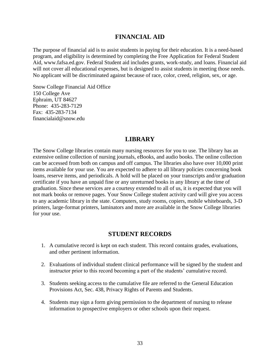### **FINANCIAL AID**

<span id="page-32-0"></span>The purpose of financial aid is to assist students in paying for their education. It is a need-based program, and eligibility is determined by completing the Free Application for Federal Student Aid, [www.fafsa.ed.gov.](http://www.fafsa.ed.gov/) Federal Student aid includes grants, work-study, and loans. Financial aid will not cover all educational expenses, but is designed to assist students in meeting those needs. No applicant will be discriminated against because of race, color, creed, religion, sex, or age.

Snow College Financial Aid Office 150 College Ave Ephraim, UT 84627 Phone: 435-283-7129 Fax: 435-283-7134 financialaid@snow.edu

### **LIBRARY**

<span id="page-32-1"></span>The Snow College libraries contain many nursing resources for you to use. The library has an extensive online collection of nursing journals, eBooks, and audio books. The online collection can be accessed from both on campus and off campus. The libraries also have over 10,000 print items available for your use. You are expected to adhere to all library policies concerning book loans, reserve items, and periodicals. A hold will be placed on your transcripts and/or graduation certificate if you have an unpaid fine or any unreturned books in any library at the time of graduation. Since these services are a courtesy extended to all of us, it is expected that you will not mark books or remove pages. Your Snow College student activity card will give you access to any academic library in the state. Computers, study rooms, copiers, mobile whiteboards, 3-D printers, large-format printers, laminators and more are available in the Snow College libraries for your use.

### **STUDENT RECORDS**

- <span id="page-32-2"></span>1. A cumulative record is kept on each student. This record contains grades, evaluations, and other pertinent information.
- 2. Evaluations of individual student clinical performance will be signed by the student and instructor prior to this record becoming a part of the students' cumulative record.
- 3. Students seeking access to the cumulative file are referred to the General Education Provisions Act, Sec. 438, Privacy Rights of Parents and Students.
- 4. Students may sign a form giving permission to the department of nursing to release information to prospective employers or other schools upon their request.